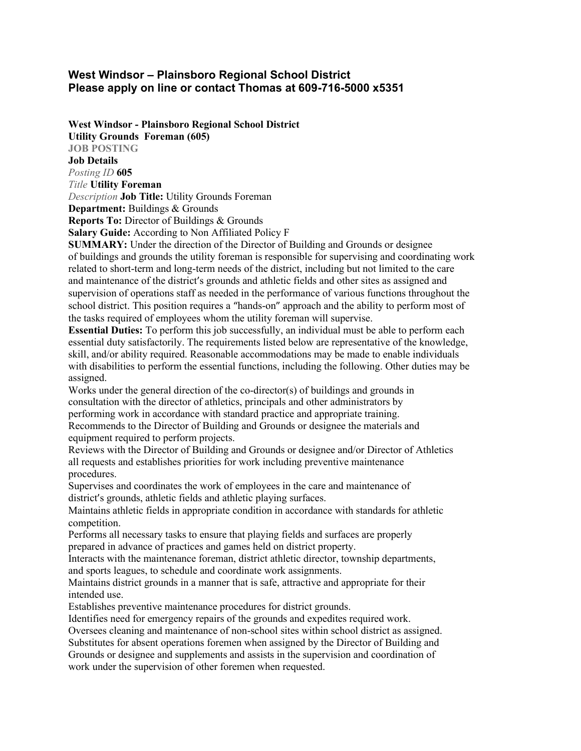## **West Windsor – Plainsboro Regional School District Please apply on line or contact Thomas at 609-716-5000 x5351**

**West Windsor - Plainsboro Regional School District**

**Utility Grounds Foreman (605) JOB POSTING Job Details** *Posting ID* **605** *Title* **Utility Foreman**

*Description* **Job Title:** Utility Grounds Foreman

**Department:** Buildings & Grounds

**Reports To:** Director of Buildings & Grounds

**Salary Guide:** According to Non Affiliated Policy F

**SUMMARY:** Under the direction of the Director of Building and Grounds or designee of buildings and grounds the utility foreman is responsible for supervising and coordinating work related to short-term and long-term needs of the district, including but not limited to the care and maintenance of the district's grounds and athletic fields and other sites as assigned and supervision of operations staff as needed in the performance of various functions throughout the school district. This position requires a "hands-on" approach and the ability to perform most of the tasks required of employees whom the utility foreman will supervise.

**Essential Duties:** To perform this job successfully, an individual must be able to perform each essential duty satisfactorily. The requirements listed below are representative of the knowledge, skill, and/or ability required. Reasonable accommodations may be made to enable individuals with disabilities to perform the essential functions, including the following. Other duties may be assigned.

Works under the general direction of the co-director(s) of buildings and grounds in consultation with the director of athletics, principals and other administrators by performing work in accordance with standard practice and appropriate training. Recommends to the Director of Building and Grounds or designee the materials and equipment required to perform projects.

Reviews with the Director of Building and Grounds or designee and/or Director of Athletics all requests and establishes priorities for work including preventive maintenance procedures.

Supervises and coordinates the work of employees in the care and maintenance of district's grounds, athletic fields and athletic playing surfaces.

Maintains athletic fields in appropriate condition in accordance with standards for athletic competition.

Performs all necessary tasks to ensure that playing fields and surfaces are properly prepared in advance of practices and games held on district property.

Interacts with the maintenance foreman, district athletic director, township departments, and sports leagues, to schedule and coordinate work assignments.

Maintains district grounds in a manner that is safe, attractive and appropriate for their intended use.

Establishes preventive maintenance procedures for district grounds.

Identifies need for emergency repairs of the grounds and expedites required work.

Oversees cleaning and maintenance of non-school sites within school district as assigned. Substitutes for absent operations foremen when assigned by the Director of Building and Grounds or designee and supplements and assists in the supervision and coordination of work under the supervision of other foremen when requested.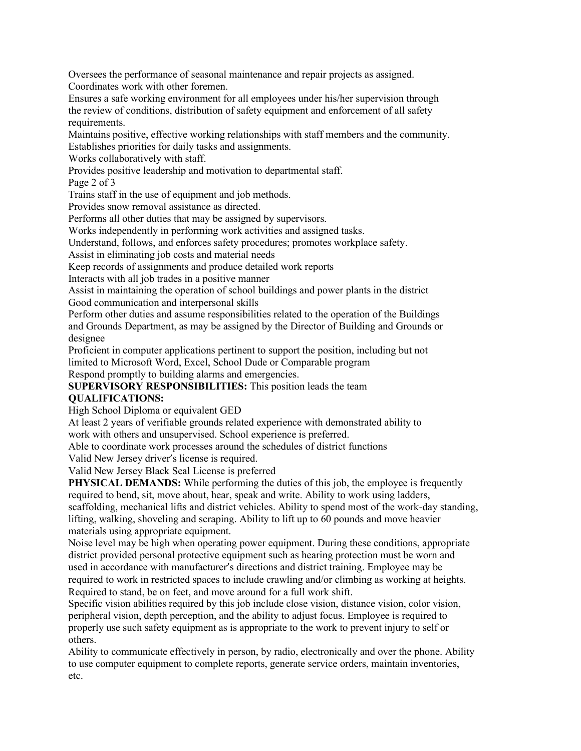Oversees the performance of seasonal maintenance and repair projects as assigned. Coordinates work with other foremen.

Ensures a safe working environment for all employees under his/her supervision through the review of conditions, distribution of safety equipment and enforcement of all safety requirements.

Maintains positive, effective working relationships with staff members and the community. Establishes priorities for daily tasks and assignments.

Works collaboratively with staff.

Provides positive leadership and motivation to departmental staff.

Page 2 of 3

Trains staff in the use of equipment and job methods.

Provides snow removal assistance as directed.

Performs all other duties that may be assigned by supervisors.

Works independently in performing work activities and assigned tasks.

Understand, follows, and enforces safety procedures; promotes workplace safety.

Assist in eliminating job costs and material needs

Keep records of assignments and produce detailed work reports

Interacts with all job trades in a positive manner

Assist in maintaining the operation of school buildings and power plants in the district Good communication and interpersonal skills

Perform other duties and assume responsibilities related to the operation of the Buildings and Grounds Department, as may be assigned by the Director of Building and Grounds or designee

Proficient in computer applications pertinent to support the position, including but not limited to Microsoft Word, Excel, School Dude or Comparable program

Respond promptly to building alarms and emergencies.

## **SUPERVISORY RESPONSIBILITIES:** This position leads the team

## **QUALIFICATIONS:**

High School Diploma or equivalent GED

At least 2 years of verifiable grounds related experience with demonstrated ability to work with others and unsupervised. School experience is preferred.

Able to coordinate work processes around the schedules of district functions

Valid New Jersey driver's license is required.

Valid New Jersey Black Seal License is preferred

**PHYSICAL DEMANDS:** While performing the duties of this job, the employee is frequently required to bend, sit, move about, hear, speak and write. Ability to work using ladders, scaffolding, mechanical lifts and district vehicles. Ability to spend most of the work-day standing, lifting, walking, shoveling and scraping. Ability to lift up to 60 pounds and move heavier materials using appropriate equipment.

Noise level may be high when operating power equipment. During these conditions, appropriate district provided personal protective equipment such as hearing protection must be worn and used in accordance with manufacturer's directions and district training. Employee may be required to work in restricted spaces to include crawling and/or climbing as working at heights. Required to stand, be on feet, and move around for a full work shift.

Specific vision abilities required by this job include close vision, distance vision, color vision, peripheral vision, depth perception, and the ability to adjust focus. Employee is required to properly use such safety equipment as is appropriate to the work to prevent injury to self or others.

Ability to communicate effectively in person, by radio, electronically and over the phone. Ability to use computer equipment to complete reports, generate service orders, maintain inventories, etc.